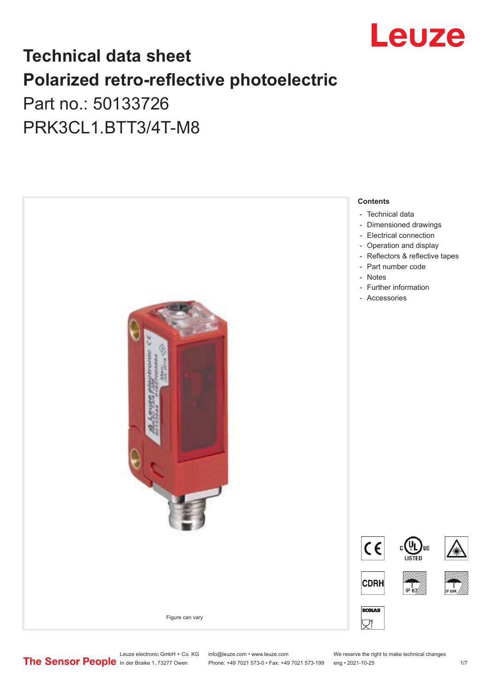

## **Technical data sheet Polarized retro-reflective photoelectric**  Part no.: 50133726

PRK3CL1.BTT3/4T-M8



Leuze electronic GmbH + Co. KG info@leuze.com • www.leuze.com We reserve the right to make technical changes<br>
The Sensor People in der Braike 1, 73277 Owen Phone: +49 7021 573-0 • Fax: +49 7021 573-199 eng • 2021-10-25

Phone: +49 7021 573-0 • Fax: +49 7021 573-199 eng • 2021-10-25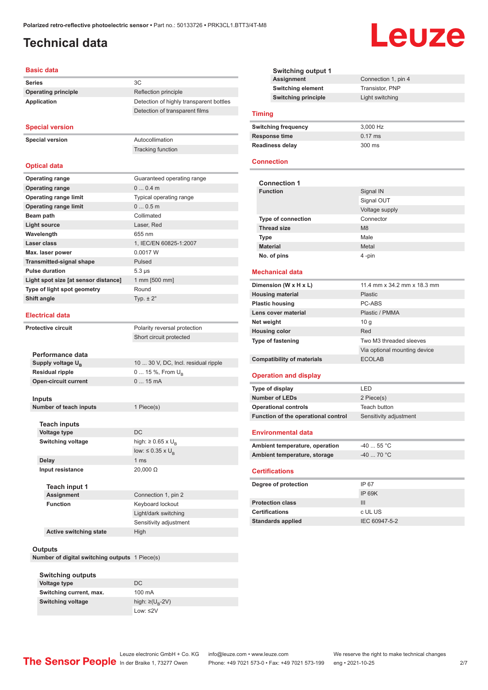## <span id="page-1-0"></span>**Technical data**

#### **Basic data**

**Series** 3C **Operating principle** Reflection principle **Application** Detection of highly transparent bottles

#### **Special version**

**Special version** Autocollimation

**Optical data**

Tracking function

Detection of transparent films

| <b>Operating range</b>               | Guaranteed operating range |
|--------------------------------------|----------------------------|
| <b>Operating range</b>               | $00.4$ m                   |
| <b>Operating range limit</b>         | Typical operating range    |
| <b>Operating range limit</b>         | 00.5m                      |
| Beam path                            | Collimated                 |
| <b>Light source</b>                  | Laser, Red                 |
| Wavelength                           | 655 nm                     |
| Laser class                          | 1, IEC/EN 60825-1:2007     |
| Max. laser power                     | 0.0017 W                   |
| <b>Transmitted-signal shape</b>      | Pulsed                     |
| <b>Pulse duration</b>                | $5.3 \,\mu s$              |
| Light spot size [at sensor distance] | 1 mm [500 mm]              |
| Type of light spot geometry          | Round                      |
| Shift angle                          | Typ. $\pm 2^{\circ}$       |
|                                      |                            |

#### **Electrical data**

**Protective circuit** Polarity reversal protection

| Performance data              |                                     |
|-------------------------------|-------------------------------------|
| Supply voltage U <sub>B</sub> | 10  30 V, DC, Incl. residual ripple |
| <b>Residual ripple</b>        | $0 15 \%$ , From $U_{p}$            |
| <b>Open-circuit current</b>   | $015$ mA                            |
|                               |                                     |

Short circuit protected

low:  $\leq 0.35 \times U_{\text{B}}$ 

Light/dark switching Sensitivity adjustment

**Inputs**

**Number of teach inputs** 1 Piece(s)

**Teach inputs Voltage type** DC **Switching voltage** high:  $\geq 0.65 \times U_B$ **Delay** 1 ms

**Input resistance** 20,000 Ω

#### **Teach input 1 Assignment** Connection 1, pin 2

**Active switching state** High

#### **Outputs**

**Number of digital switching outputs** 1 Piece(s)

**Function** Keyboard lockout

| <b>Switching outputs</b> |                                   |
|--------------------------|-----------------------------------|
| Voltage type             | DC.                               |
| Switching current, max.  | 100 mA                            |
| Switching voltage        | high: $\geq$ (U <sub>B</sub> -2V) |
|                          | Low: $\leq$ 2V                    |

| <b>Switching output 1</b>  |                     |  |
|----------------------------|---------------------|--|
| <b>Assignment</b>          | Connection 1, pin 4 |  |
| <b>Switching element</b>   | Transistor, PNP     |  |
| <b>Switching principle</b> | Light switching     |  |
|                            |                     |  |

#### **Timing**

| <b>Switching frequency</b> | 3.000 Hz          |
|----------------------------|-------------------|
| Response time              | $0.17 \text{ ms}$ |
| <b>Readiness delay</b>     | $300 \text{ ms}$  |

#### **Connection**

| <b>Connection 1</b>       |                |
|---------------------------|----------------|
| <b>Function</b>           | Signal IN      |
|                           | Signal OUT     |
|                           | Voltage supply |
| <b>Type of connection</b> | Connector      |
| <b>Thread size</b>        | M8             |
| <b>Type</b>               | Male           |
| <b>Material</b>           | Metal          |
| No. of pins               | 4 -pin         |

#### **Mechanical data**

| 11.4 mm x 34.2 mm x 18.3 mm  |
|------------------------------|
| Plastic                      |
| PC-ABS                       |
| Plastic / PMMA               |
| 10q                          |
| Red                          |
| Two M3 threaded sleeves      |
| Via optional mounting device |
| <b>ECOLAB</b>                |
|                              |

#### **Operation and display**

| Type of display                     | I FD                   |
|-------------------------------------|------------------------|
| Number of LEDs                      | 2 Piece(s)             |
| <b>Operational controls</b>         | Teach button           |
| Function of the operational control | Sensitivity adjustment |
|                                     |                        |

#### **Environmental data**

| Ambient temperature, operation | -40  55 °C  |
|--------------------------------|-------------|
| Ambient temperature, storage   | $-40$ 70 °C |
|                                |             |

#### **Certifications**

| Degree of protection     | IP 67         |
|--------------------------|---------------|
|                          | IP 69K        |
| <b>Protection class</b>  | Ш             |
| <b>Certifications</b>    | c UL US       |
| <b>Standards applied</b> | IEC 60947-5-2 |

# Leuze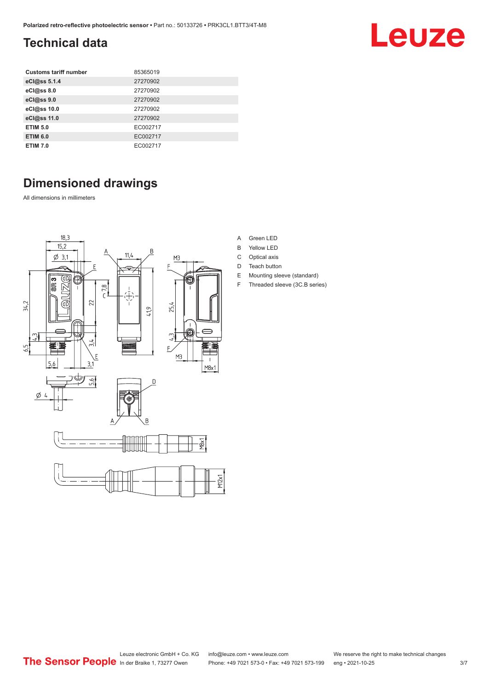## <span id="page-2-0"></span>**Technical data**

| <b>Customs tariff number</b> | 85365019 |
|------------------------------|----------|
| eCl@ss 5.1.4                 | 27270902 |
| eCl@ss 8.0                   | 27270902 |
| eCl@ss 9.0                   | 27270902 |
| eCl@ss 10.0                  | 27270902 |
| eCl@ss 11.0                  | 27270902 |
| <b>ETIM 5.0</b>              | EC002717 |
| <b>ETIM 6.0</b>              | EC002717 |
| <b>ETIM 7.0</b>              | EC002717 |

## **Dimensioned drawings**

All dimensions in millimeters

![](_page_2_Figure_5.jpeg)

- A Green LED
- B Yellow LED
- C Optical axis
- D Teach button
- E Mounting sleeve (standard)
- F Threaded sleeve (3C.B series)

**Leuze**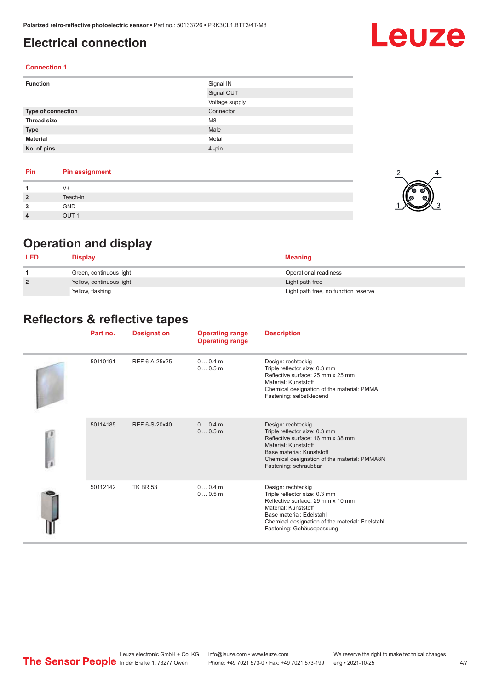## <span id="page-3-0"></span>**Electrical connection**

## Leuze

#### **Connection 1**

| <b>Function</b>    | Signal IN      |
|--------------------|----------------|
|                    | Signal OUT     |
|                    | Voltage supply |
| Type of connection | Connector      |
| <b>Thread size</b> | M <sub>8</sub> |
| <b>Type</b>        | Male           |
| <b>Material</b>    | Metal          |
| No. of pins        | 4-pin          |

#### **Pin Pin assignment 1** V+ **2** Teach-in **3** GND **4** OUT 1

![](_page_3_Picture_6.jpeg)

## **Operation and display**

| <b>LED</b>     | <b>Display</b>           | <b>Meaning</b>                       |
|----------------|--------------------------|--------------------------------------|
|                | Green, continuous light  | Operational readiness                |
| $\overline{2}$ | Yellow, continuous light | Light path free                      |
|                | Yellow, flashing         | Light path free, no function reserve |

## **Reflectors & reflective tapes**

|  | Part no. | <b>Designation</b> | <b>Operating range</b><br><b>Operating range</b> | <b>Description</b>                                                                                                                                                                                                           |
|--|----------|--------------------|--------------------------------------------------|------------------------------------------------------------------------------------------------------------------------------------------------------------------------------------------------------------------------------|
|  | 50110191 | REF 6-A-25x25      | $00.4$ m<br>00.5m                                | Design: rechteckig<br>Triple reflector size: 0.3 mm<br>Reflective surface: 25 mm x 25 mm<br>Material: Kunststoff<br>Chemical designation of the material: PMMA<br>Fastening: selbstklebend                                   |
|  | 50114185 | REF 6-S-20x40      | $00.4$ m<br>00.5m                                | Design: rechteckig<br>Triple reflector size: 0.3 mm<br>Reflective surface: 16 mm x 38 mm<br>Material: Kunststoff<br>Base material: Kunststoff<br>Chemical designation of the material: PMMA8N<br>Fastening: schraubbar       |
|  | 50112142 | <b>TK BR 53</b>    | $00.4$ m<br>00.5m                                | Design: rechteckig<br>Triple reflector size: 0.3 mm<br>Reflective surface: 29 mm x 10 mm<br>Material: Kunststoff<br>Base material: Edelstahl<br>Chemical designation of the material: Edelstahl<br>Fastening: Gehäusepassung |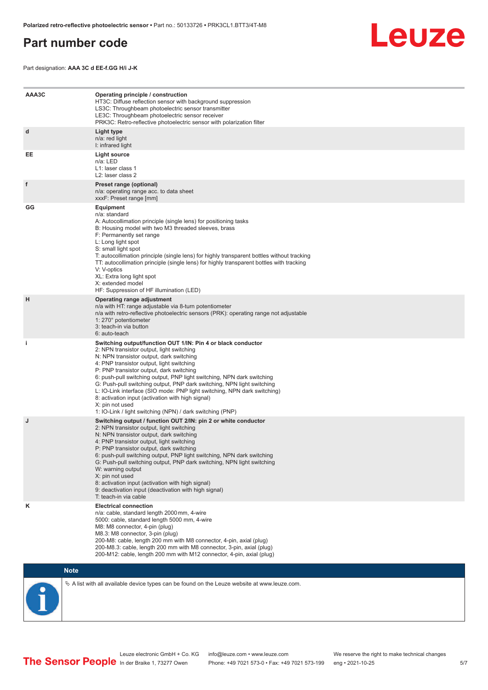## <span id="page-4-0"></span>**Part number code**

Leuze

Part designation: **AAA 3C d EE-f.GG H/i J-K**

| AAA3C | Operating principle / construction<br>HT3C: Diffuse reflection sensor with background suppression<br>LS3C: Throughbeam photoelectric sensor transmitter<br>LE3C: Throughbeam photoelectric sensor receiver<br>PRK3C: Retro-reflective photoelectric sensor with polarization filter                                                                                                                                                                                                                                                                                                                                 |
|-------|---------------------------------------------------------------------------------------------------------------------------------------------------------------------------------------------------------------------------------------------------------------------------------------------------------------------------------------------------------------------------------------------------------------------------------------------------------------------------------------------------------------------------------------------------------------------------------------------------------------------|
| d     | Light type<br>n/a: red light<br>I: infrared light                                                                                                                                                                                                                                                                                                                                                                                                                                                                                                                                                                   |
| EE    | Light source<br>n/a: LED<br>L1: laser class 1<br>L2: laser class 2                                                                                                                                                                                                                                                                                                                                                                                                                                                                                                                                                  |
| f     | Preset range (optional)<br>n/a: operating range acc. to data sheet<br>xxxF: Preset range [mm]                                                                                                                                                                                                                                                                                                                                                                                                                                                                                                                       |
| GG    | <b>Equipment</b><br>n/a: standard<br>A: Autocollimation principle (single lens) for positioning tasks<br>B: Housing model with two M3 threaded sleeves, brass<br>F: Permanently set range<br>L: Long light spot<br>S: small light spot<br>T: autocollimation principle (single lens) for highly transparent bottles without tracking<br>TT: autocollimation principle (single lens) for highly transparent bottles with tracking<br>V: V-optics<br>XL: Extra long light spot<br>X: extended model<br>HF: Suppression of HF illumination (LED)                                                                       |
| н     | Operating range adjustment<br>n/a with HT: range adjustable via 8-turn potentiometer<br>n/a with retro-reflective photoelectric sensors (PRK): operating range not adjustable<br>1: 270° potentiometer<br>3: teach-in via button<br>6: auto-teach                                                                                                                                                                                                                                                                                                                                                                   |
| i.    | Switching output/function OUT 1/IN: Pin 4 or black conductor<br>2: NPN transistor output, light switching<br>N: NPN transistor output, dark switching<br>4: PNP transistor output, light switching<br>P: PNP transistor output, dark switching<br>6: push-pull switching output, PNP light switching, NPN dark switching<br>G: Push-pull switching output, PNP dark switching, NPN light switching<br>L: IO-Link interface (SIO mode: PNP light switching, NPN dark switching)<br>8: activation input (activation with high signal)<br>X: pin not used<br>1: IO-Link / light switching (NPN) / dark switching (PNP) |
| J     | Switching output / function OUT 2/IN: pin 2 or white conductor<br>2: NPN transistor output, light switching<br>N: NPN transistor output, dark switching<br>4: PNP transistor output, light switching<br>P: PNP transistor output, dark switching<br>6: push-pull switching output, PNP light switching, NPN dark switching<br>G: Push-pull switching output, PNP dark switching, NPN light switching<br>W: warning output<br>X: pin not used<br>8: activation input (activation with high signal)<br>9: deactivation input (deactivation with high signal)<br>T: teach-in via cable                                 |
| κ     | <b>Electrical connection</b><br>n/a: cable, standard length 2000 mm, 4-wire<br>5000: cable, standard length 5000 mm, 4-wire<br>M8: M8 connector, 4-pin (plug)<br>M8.3: M8 connector, 3-pin (plug)<br>200-M8: cable, length 200 mm with M8 connector, 4-pin, axial (plug)<br>200-M8.3: cable, length 200 mm with M8 connector, 3-pin, axial (plug)<br>200-M12: cable, length 200 mm with M12 connector, 4-pin, axial (plug)                                                                                                                                                                                          |

## **Note**

![](_page_4_Picture_6.jpeg)

 $\%$  A list with all available device types can be found on the Leuze website at www.leuze.com.

Leuze electronic GmbH + Co. KG info@leuze.com • www.leuze.com We reserve the right to make technical changes In der Braike 1, 73277 Owen Phone: +49 7021 573-0 • Fax: +49 7021 573-199 eng • 2021-10-25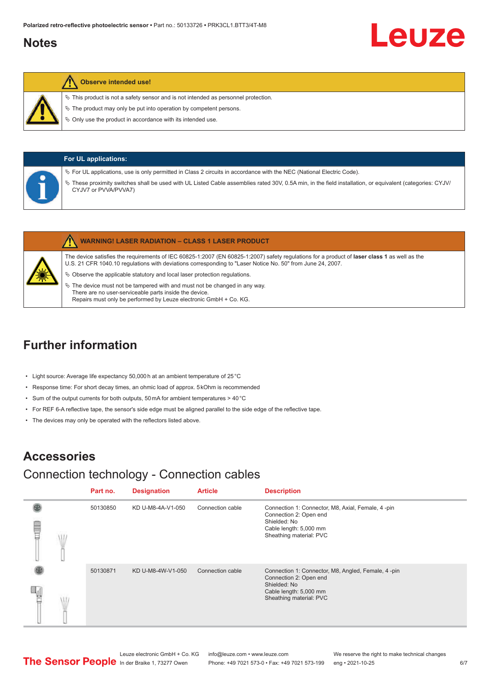## <span id="page-5-0"></span>**Notes**

![](_page_5_Picture_2.jpeg)

#### **Observe intended use!**

- $\%$  This product is not a safety sensor and is not intended as personnel protection.
- $\ddot{\phi}$  The product may only be put into operation by competent persons.
- $\%$  Only use the product in accordance with its intended use.

| <b>For UL applications:</b> |                                                                                                                                                                                                                                                                                                                  |  |  |  |
|-----------------------------|------------------------------------------------------------------------------------------------------------------------------------------------------------------------------------------------------------------------------------------------------------------------------------------------------------------|--|--|--|
|                             | $\%$ For UL applications, use is only permitted in Class 2 circuits in accordance with the NEC (National Electric Code).<br>These proximity switches shall be used with UL Listed Cable assemblies rated 30V, 0.5A min, in the field installation, or equivalent (categories: CYJV/<br>₩<br>CYJV7 or PVVA/PVVA7) |  |  |  |

|  |                                                                               | <b>WARNING! LASER RADIATION - CLASS 1 LASER PRODUCT</b>                                                                                                                                                                                                    |
|--|-------------------------------------------------------------------------------|------------------------------------------------------------------------------------------------------------------------------------------------------------------------------------------------------------------------------------------------------------|
|  |                                                                               | The device satisfies the requirements of IEC 60825-1:2007 (EN 60825-1:2007) safety requlations for a product of laser class 1 as well as the<br>U.S. 21 CFR 1040.10 requlations with deviations corresponding to "Laser Notice No. 50" from June 24, 2007. |
|  | $\&$ Observe the applicable statutory and local laser protection regulations. |                                                                                                                                                                                                                                                            |
|  | $\%$ The device must not be tampered with and must not be changed in any way. |                                                                                                                                                                                                                                                            |

There are no user-serviceable parts inside the device. Repairs must only be performed by Leuze electronic GmbH + Co. KG.

## **Further information**

- Light source: Average life expectancy 50,000 h at an ambient temperature of 25 °C
- Response time: For short decay times, an ohmic load of approx. 5 kOhm is recommended
- Sum of the output currents for both outputs, 50 mA for ambient temperatures > 40 °C
- For REF 6-A reflective tape, the sensor's side edge must be aligned parallel to the side edge of the reflective tape.
- The devices may only be operated with the reflectors listed above.

## **Accessories**

## Connection technology - Connection cables

|   | Part no. | <b>Designation</b> | <b>Article</b>   | <b>Description</b>                                                                                                                                |
|---|----------|--------------------|------------------|---------------------------------------------------------------------------------------------------------------------------------------------------|
| ŧ | 50130850 | KD U-M8-4A-V1-050  | Connection cable | Connection 1: Connector, M8, Axial, Female, 4-pin<br>Connection 2: Open end<br>Shielded: No<br>Cable length: 5,000 mm<br>Sheathing material: PVC  |
|   | 50130871 | KD U-M8-4W-V1-050  | Connection cable | Connection 1: Connector, M8, Angled, Female, 4-pin<br>Connection 2: Open end<br>Shielded: No<br>Cable length: 5,000 mm<br>Sheathing material: PVC |

Leuze